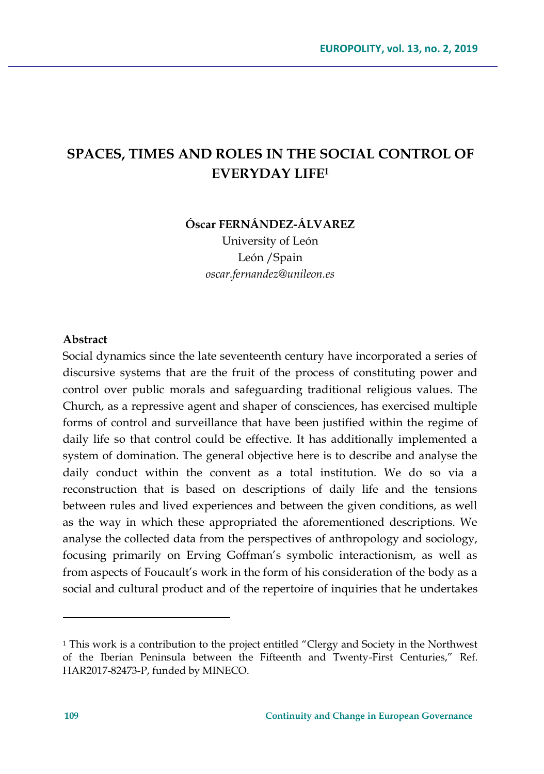# **SPACES, TIMES AND ROLES IN THE SOCIAL CONTROL OF EVERYDAY LIFE<sup>1</sup>**

**Óscar FERNÁNDEZ-ÁLVAREZ**

University of León León /Spain *oscar.fernandez@unileon.es*

#### **Abstract**

Social dynamics since the late seventeenth century have incorporated a series of discursive systems that are the fruit of the process of constituting power and control over public morals and safeguarding traditional religious values. The Church, as a repressive agent and shaper of consciences, has exercised multiple forms of control and surveillance that have been justified within the regime of daily life so that control could be effective. It has additionally implemented a system of domination. The general objective here is to describe and analyse the daily conduct within the convent as a total institution. We do so via a reconstruction that is based on descriptions of daily life and the tensions between rules and lived experiences and between the given conditions, as well as the way in which these appropriated the aforementioned descriptions. We analyse the collected data from the perspectives of anthropology and sociology, focusing primarily on Erving Goffman's symbolic interactionism, as well as from aspects of Foucault's work in the form of his consideration of the body as a social and cultural product and of the repertoire of inquiries that he undertakes

 $\overline{a}$ 

<sup>&</sup>lt;sup>1</sup> This work is a contribution to the project entitled "Clergy and Society in the Northwest of the Iberian Peninsula between the Fifteenth and Twenty-First Centuries," Ref. HAR2017-82473-P, funded by MINECO.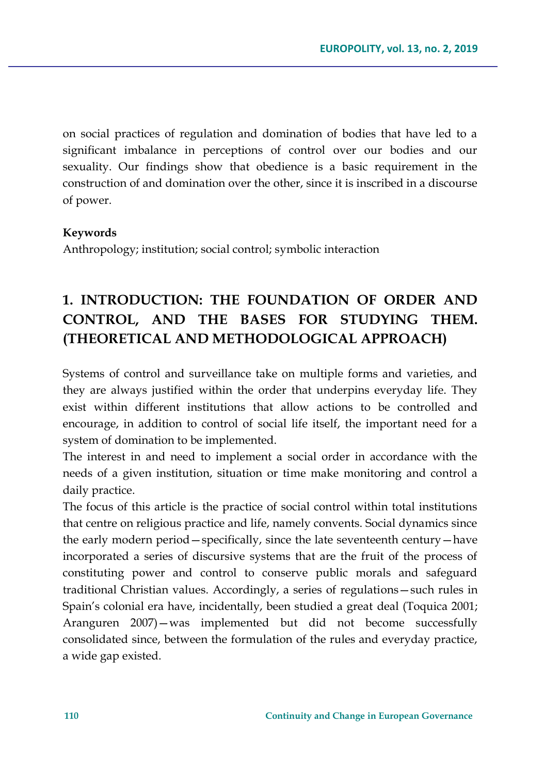on social practices of regulation and domination of bodies that have led to a significant imbalance in perceptions of control over our bodies and our sexuality. Our findings show that obedience is a basic requirement in the construction of and domination over the other, since it is inscribed in a discourse of power.

### **Keywords**

Anthropology; institution; social control; symbolic interaction

## **1. INTRODUCTION: THE FOUNDATION OF ORDER AND CONTROL, AND THE BASES FOR STUDYING THEM. (THEORETICAL AND METHODOLOGICAL APPROACH)**

Systems of control and surveillance take on multiple forms and varieties, and they are always justified within the order that underpins everyday life. They exist within different institutions that allow actions to be controlled and encourage, in addition to control of social life itself, the important need for a system of domination to be implemented.

The interest in and need to implement a social order in accordance with the needs of a given institution, situation or time make monitoring and control a daily practice.

The focus of this article is the practice of social control within total institutions that centre on religious practice and life, namely convents. Social dynamics since the early modern period—specifically, since the late seventeenth century—have incorporated a series of discursive systems that are the fruit of the process of constituting power and control to conserve public morals and safeguard traditional Christian values. Accordingly, a series of regulations—such rules in Spain's colonial era have, incidentally, been studied a great deal (Toquica 2001; Aranguren 2007)—was implemented but did not become successfully consolidated since, between the formulation of the rules and everyday practice, a wide gap existed.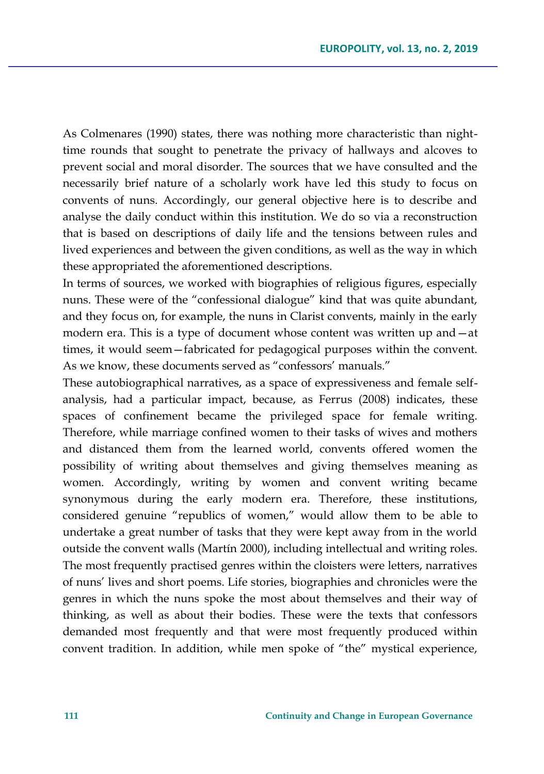As Colmenares (1990) states, there was nothing more characteristic than nighttime rounds that sought to penetrate the privacy of hallways and alcoves to prevent social and moral disorder. The sources that we have consulted and the necessarily brief nature of a scholarly work have led this study to focus on convents of nuns. Accordingly, our general objective here is to describe and analyse the daily conduct within this institution. We do so via a reconstruction that is based on descriptions of daily life and the tensions between rules and lived experiences and between the given conditions, as well as the way in which these appropriated the aforementioned descriptions.

In terms of sources, we worked with biographies of religious figures, especially nuns. These were of the "confessional dialogue" kind that was quite abundant, and they focus on, for example, the nuns in Clarist convents, mainly in the early modern era. This is a type of document whose content was written up and—at times, it would seem—fabricated for pedagogical purposes within the convent. As we know, these documents served as "confessors' manuals."

These autobiographical narratives, as a space of expressiveness and female selfanalysis, had a particular impact, because, as Ferrus (2008) indicates, these spaces of confinement became the privileged space for female writing. Therefore, while marriage confined women to their tasks of wives and mothers and distanced them from the learned world, convents offered women the possibility of writing about themselves and giving themselves meaning as women. Accordingly, writing by women and convent writing became synonymous during the early modern era. Therefore, these institutions, considered genuine "republics of women," would allow them to be able to undertake a great number of tasks that they were kept away from in the world outside the convent walls (Martín 2000), including intellectual and writing roles. The most frequently practised genres within the cloisters were letters, narratives of nuns' lives and short poems. Life stories, biographies and chronicles were the genres in which the nuns spoke the most about themselves and their way of thinking, as well as about their bodies. These were the texts that confessors demanded most frequently and that were most frequently produced within convent tradition. In addition, while men spoke of "the" mystical experience,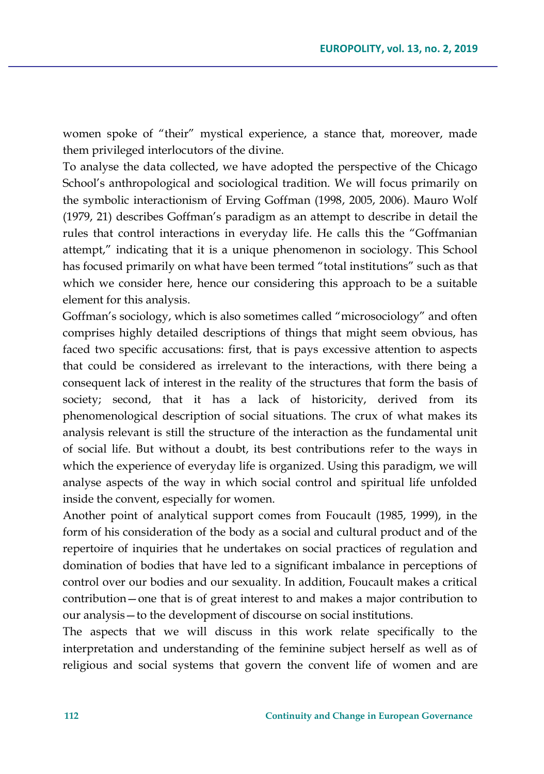women spoke of "their" mystical experience, a stance that, moreover, made them privileged interlocutors of the divine.

To analyse the data collected, we have adopted the perspective of the Chicago School's anthropological and sociological tradition. We will focus primarily on the symbolic interactionism of Erving Goffman (1998, 2005, 2006). Mauro Wolf (1979, 21) describes Goffman's paradigm as an attempt to describe in detail the rules that control interactions in everyday life. He calls this the "Goffmanian attempt," indicating that it is a unique phenomenon in sociology. This School has focused primarily on what have been termed "total institutions" such as that which we consider here, hence our considering this approach to be a suitable element for this analysis.

Goffman's sociology, which is also sometimes called "microsociology" and often comprises highly detailed descriptions of things that might seem obvious, has faced two specific accusations: first, that is pays excessive attention to aspects that could be considered as irrelevant to the interactions, with there being a consequent lack of interest in the reality of the structures that form the basis of society; second, that it has a lack of historicity, derived from its phenomenological description of social situations. The crux of what makes its analysis relevant is still the structure of the interaction as the fundamental unit of social life. But without a doubt, its best contributions refer to the ways in which the experience of everyday life is organized. Using this paradigm, we will analyse aspects of the way in which social control and spiritual life unfolded inside the convent, especially for women.

Another point of analytical support comes from Foucault (1985, 1999), in the form of his consideration of the body as a social and cultural product and of the repertoire of inquiries that he undertakes on social practices of regulation and domination of bodies that have led to a significant imbalance in perceptions of control over our bodies and our sexuality. In addition, Foucault makes a critical contribution—one that is of great interest to and makes a major contribution to our analysis—to the development of discourse on social institutions.

The aspects that we will discuss in this work relate specifically to the interpretation and understanding of the feminine subject herself as well as of religious and social systems that govern the convent life of women and are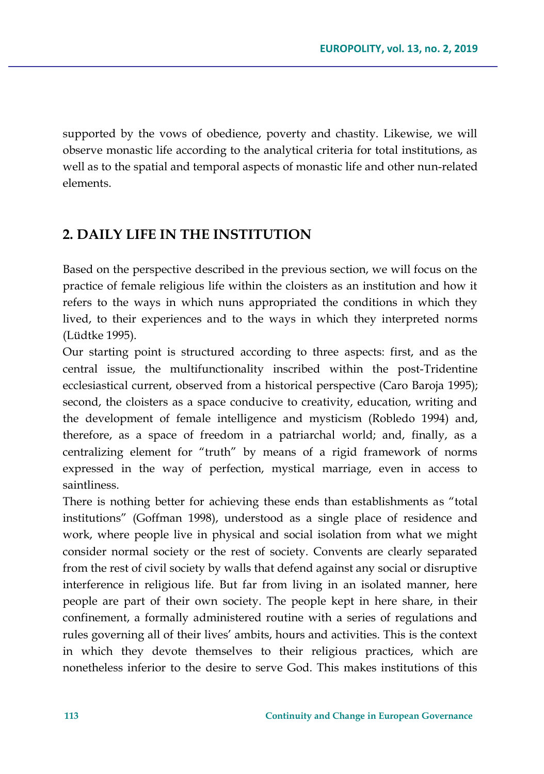supported by the vows of obedience, poverty and chastity. Likewise, we will observe monastic life according to the analytical criteria for total institutions, as well as to the spatial and temporal aspects of monastic life and other nun-related elements.

## **2. DAILY LIFE IN THE INSTITUTION**

Based on the perspective described in the previous section, we will focus on the practice of female religious life within the cloisters as an institution and how it refers to the ways in which nuns appropriated the conditions in which they lived, to their experiences and to the ways in which they interpreted norms (Lüdtke 1995).

Our starting point is structured according to three aspects: first, and as the central issue, the multifunctionality inscribed within the post-Tridentine ecclesiastical current, observed from a historical perspective (Caro Baroja 1995); second, the cloisters as a space conducive to creativity, education, writing and the development of female intelligence and mysticism (Robledo 1994) and, therefore, as a space of freedom in a patriarchal world; and, finally, as a centralizing element for "truth" by means of a rigid framework of norms expressed in the way of perfection, mystical marriage, even in access to saintliness.

There is nothing better for achieving these ends than establishments as "total institutions" (Goffman 1998), understood as a single place of residence and work, where people live in physical and social isolation from what we might consider normal society or the rest of society. Convents are clearly separated from the rest of civil society by walls that defend against any social or disruptive interference in religious life. But far from living in an isolated manner, here people are part of their own society. The people kept in here share, in their confinement, a formally administered routine with a series of regulations and rules governing all of their lives' ambits, hours and activities. This is the context in which they devote themselves to their religious practices, which are nonetheless inferior to the desire to serve God. This makes institutions of this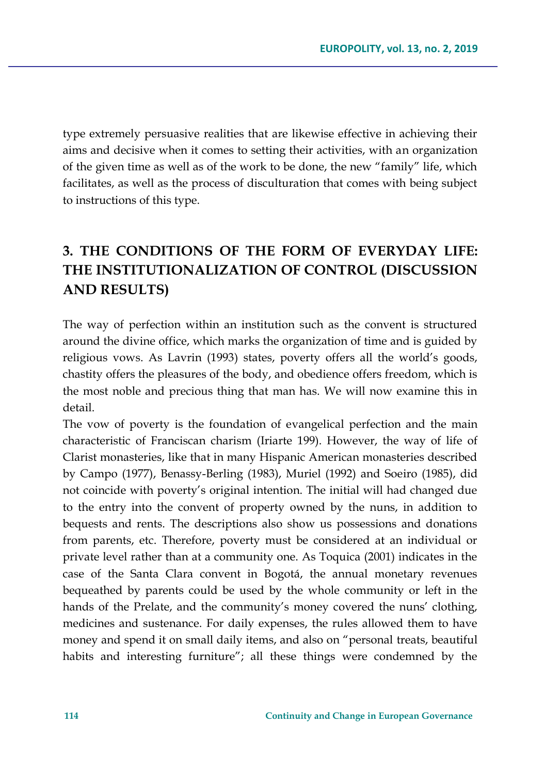type extremely persuasive realities that are likewise effective in achieving their aims and decisive when it comes to setting their activities, with an organization of the given time as well as of the work to be done, the new "family" life, which facilitates, as well as the process of disculturation that comes with being subject to instructions of this type.

# **3. THE CONDITIONS OF THE FORM OF EVERYDAY LIFE: THE INSTITUTIONALIZATION OF CONTROL (DISCUSSION AND RESULTS)**

The way of perfection within an institution such as the convent is structured around the divine office, which marks the organization of time and is guided by religious vows. As Lavrin (1993) states, poverty offers all the world's goods, chastity offers the pleasures of the body, and obedience offers freedom, which is the most noble and precious thing that man has. We will now examine this in detail.

The vow of poverty is the foundation of evangelical perfection and the main characteristic of Franciscan charism (Iriarte 199). However, the way of life of Clarist monasteries, like that in many Hispanic American monasteries described by Campo (1977), Benassy-Berling (1983), Muriel (1992) and Soeiro (1985), did not coincide with poverty's original intention. The initial will had changed due to the entry into the convent of property owned by the nuns, in addition to bequests and rents. The descriptions also show us possessions and donations from parents, etc. Therefore, poverty must be considered at an individual or private level rather than at a community one. As Toquica (2001) indicates in the case of the Santa Clara convent in Bogotá, the annual monetary revenues bequeathed by parents could be used by the whole community or left in the hands of the Prelate, and the community's money covered the nuns' clothing, medicines and sustenance. For daily expenses, the rules allowed them to have money and spend it on small daily items, and also on "personal treats, beautiful habits and interesting furniture"; all these things were condemned by the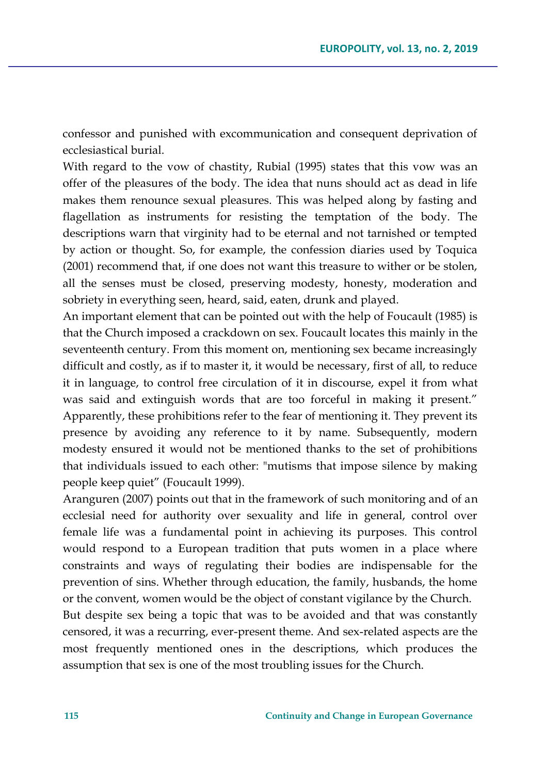confessor and punished with excommunication and consequent deprivation of ecclesiastical burial.

With regard to the vow of chastity, Rubial (1995) states that this vow was an offer of the pleasures of the body. The idea that nuns should act as dead in life makes them renounce sexual pleasures. This was helped along by fasting and flagellation as instruments for resisting the temptation of the body. The descriptions warn that virginity had to be eternal and not tarnished or tempted by action or thought. So, for example, the confession diaries used by Toquica (2001) recommend that, if one does not want this treasure to wither or be stolen, all the senses must be closed, preserving modesty, honesty, moderation and sobriety in everything seen, heard, said, eaten, drunk and played.

An important element that can be pointed out with the help of Foucault (1985) is that the Church imposed a crackdown on sex. Foucault locates this mainly in the seventeenth century. From this moment on, mentioning sex became increasingly difficult and costly, as if to master it, it would be necessary, first of all, to reduce it in language, to control free circulation of it in discourse, expel it from what was said and extinguish words that are too forceful in making it present." Apparently, these prohibitions refer to the fear of mentioning it. They prevent its presence by avoiding any reference to it by name. Subsequently, modern modesty ensured it would not be mentioned thanks to the set of prohibitions that individuals issued to each other: "mutisms that impose silence by making people keep quiet" (Foucault 1999).

Aranguren (2007) points out that in the framework of such monitoring and of an ecclesial need for authority over sexuality and life in general, control over female life was a fundamental point in achieving its purposes. This control would respond to a European tradition that puts women in a place where constraints and ways of regulating their bodies are indispensable for the prevention of sins. Whether through education, the family, husbands, the home or the convent, women would be the object of constant vigilance by the Church.

But despite sex being a topic that was to be avoided and that was constantly censored, it was a recurring, ever-present theme. And sex-related aspects are the most frequently mentioned ones in the descriptions, which produces the assumption that sex is one of the most troubling issues for the Church.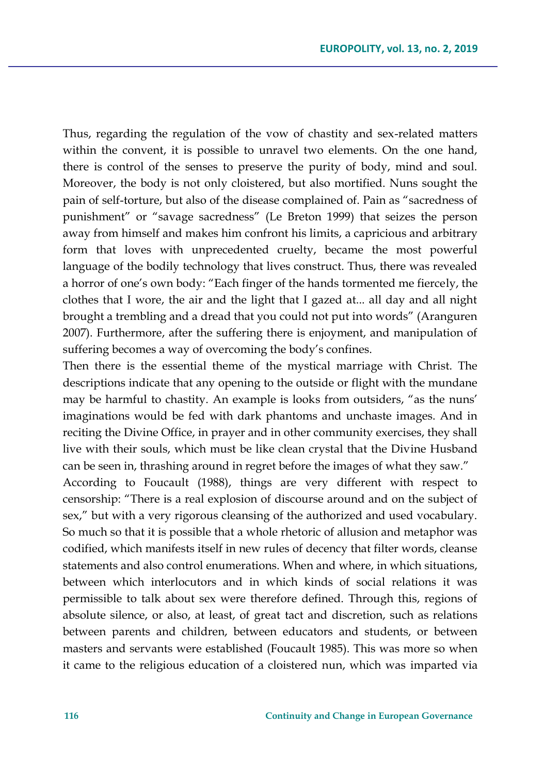Thus, regarding the regulation of the vow of chastity and sex-related matters within the convent, it is possible to unravel two elements. On the one hand, there is control of the senses to preserve the purity of body, mind and soul. Moreover, the body is not only cloistered, but also mortified. Nuns sought the pain of self-torture, but also of the disease complained of. Pain as "sacredness of punishment" or "savage sacredness" (Le Breton 1999) that seizes the person away from himself and makes him confront his limits, a capricious and arbitrary form that loves with unprecedented cruelty, became the most powerful language of the bodily technology that lives construct. Thus, there was revealed a horror of one's own body: "Each finger of the hands tormented me fiercely, the clothes that I wore, the air and the light that I gazed at... all day and all night brought a trembling and a dread that you could not put into words" (Aranguren 2007). Furthermore, after the suffering there is enjoyment, and manipulation of suffering becomes a way of overcoming the body's confines.

Then there is the essential theme of the mystical marriage with Christ. The descriptions indicate that any opening to the outside or flight with the mundane may be harmful to chastity. An example is looks from outsiders, "as the nuns' imaginations would be fed with dark phantoms and unchaste images. And in reciting the Divine Office, in prayer and in other community exercises, they shall live with their souls, which must be like clean crystal that the Divine Husband can be seen in, thrashing around in regret before the images of what they saw." According to Foucault (1988), things are very different with respect to censorship: "There is a real explosion of discourse around and on the subject of sex," but with a very rigorous cleansing of the authorized and used vocabulary. So much so that it is possible that a whole rhetoric of allusion and metaphor was codified, which manifests itself in new rules of decency that filter words, cleanse statements and also control enumerations. When and where, in which situations, between which interlocutors and in which kinds of social relations it was permissible to talk about sex were therefore defined. Through this, regions of absolute silence, or also, at least, of great tact and discretion, such as relations between parents and children, between educators and students, or between masters and servants were established (Foucault 1985). This was more so when it came to the religious education of a cloistered nun, which was imparted via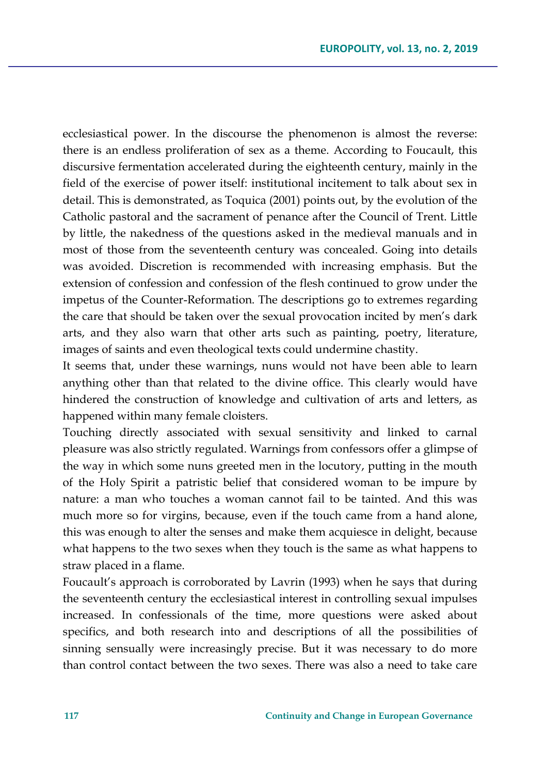ecclesiastical power. In the discourse the phenomenon is almost the reverse: there is an endless proliferation of sex as a theme. According to Foucault, this discursive fermentation accelerated during the eighteenth century, mainly in the field of the exercise of power itself: institutional incitement to talk about sex in detail. This is demonstrated, as Toquica (2001) points out, by the evolution of the Catholic pastoral and the sacrament of penance after the Council of Trent. Little by little, the nakedness of the questions asked in the medieval manuals and in most of those from the seventeenth century was concealed. Going into details was avoided. Discretion is recommended with increasing emphasis. But the extension of confession and confession of the flesh continued to grow under the impetus of the Counter-Reformation. The descriptions go to extremes regarding the care that should be taken over the sexual provocation incited by men's dark arts, and they also warn that other arts such as painting, poetry, literature, images of saints and even theological texts could undermine chastity.

It seems that, under these warnings, nuns would not have been able to learn anything other than that related to the divine office. This clearly would have hindered the construction of knowledge and cultivation of arts and letters, as happened within many female cloisters.

Touching directly associated with sexual sensitivity and linked to carnal pleasure was also strictly regulated. Warnings from confessors offer a glimpse of the way in which some nuns greeted men in the locutory, putting in the mouth of the Holy Spirit a patristic belief that considered woman to be impure by nature: a man who touches a woman cannot fail to be tainted. And this was much more so for virgins, because, even if the touch came from a hand alone, this was enough to alter the senses and make them acquiesce in delight, because what happens to the two sexes when they touch is the same as what happens to straw placed in a flame.

Foucault's approach is corroborated by Lavrin (1993) when he says that during the seventeenth century the ecclesiastical interest in controlling sexual impulses increased. In confessionals of the time, more questions were asked about specifics, and both research into and descriptions of all the possibilities of sinning sensually were increasingly precise. But it was necessary to do more than control contact between the two sexes. There was also a need to take care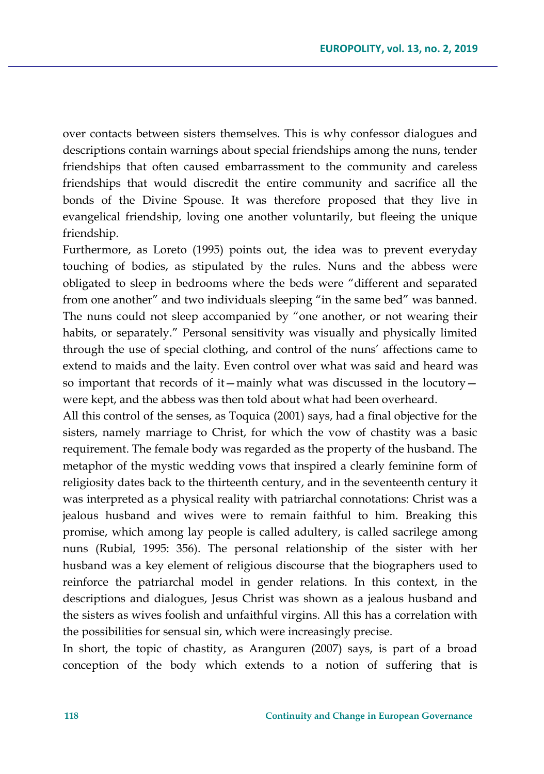over contacts between sisters themselves. This is why confessor dialogues and descriptions contain warnings about special friendships among the nuns, tender friendships that often caused embarrassment to the community and careless friendships that would discredit the entire community and sacrifice all the bonds of the Divine Spouse. It was therefore proposed that they live in evangelical friendship, loving one another voluntarily, but fleeing the unique friendship.

Furthermore, as Loreto (1995) points out, the idea was to prevent everyday touching of bodies, as stipulated by the rules. Nuns and the abbess were obligated to sleep in bedrooms where the beds were "different and separated from one another" and two individuals sleeping "in the same bed" was banned. The nuns could not sleep accompanied by "one another, or not wearing their habits, or separately." Personal sensitivity was visually and physically limited through the use of special clothing, and control of the nuns' affections came to extend to maids and the laity. Even control over what was said and heard was so important that records of it—mainly what was discussed in the locutory were kept, and the abbess was then told about what had been overheard.

All this control of the senses, as Toquica (2001) says, had a final objective for the sisters, namely marriage to Christ, for which the vow of chastity was a basic requirement. The female body was regarded as the property of the husband. The metaphor of the mystic wedding vows that inspired a clearly feminine form of religiosity dates back to the thirteenth century, and in the seventeenth century it was interpreted as a physical reality with patriarchal connotations: Christ was a jealous husband and wives were to remain faithful to him. Breaking this promise, which among lay people is called adultery, is called sacrilege among nuns (Rubial, 1995: 356). The personal relationship of the sister with her husband was a key element of religious discourse that the biographers used to reinforce the patriarchal model in gender relations. In this context, in the descriptions and dialogues, Jesus Christ was shown as a jealous husband and the sisters as wives foolish and unfaithful virgins. All this has a correlation with the possibilities for sensual sin, which were increasingly precise.

In short, the topic of chastity, as Aranguren (2007) says, is part of a broad conception of the body which extends to a notion of suffering that is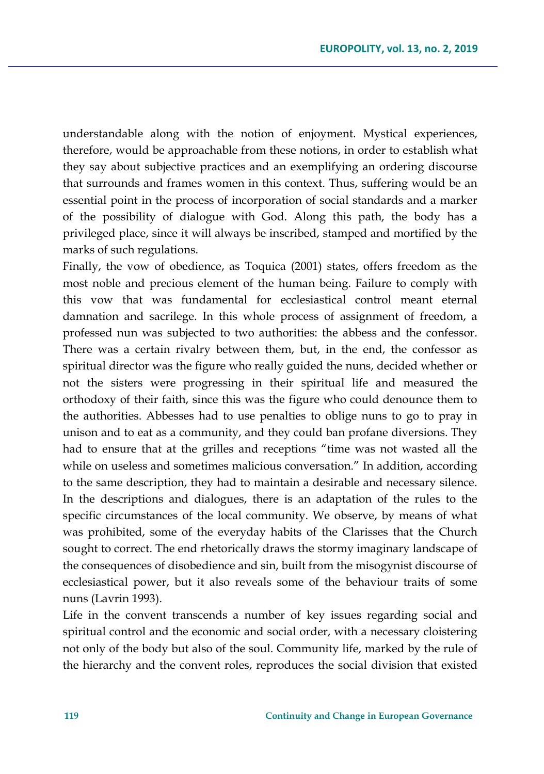understandable along with the notion of enjoyment. Mystical experiences, therefore, would be approachable from these notions, in order to establish what they say about subjective practices and an exemplifying an ordering discourse that surrounds and frames women in this context. Thus, suffering would be an essential point in the process of incorporation of social standards and a marker of the possibility of dialogue with God. Along this path, the body has a privileged place, since it will always be inscribed, stamped and mortified by the marks of such regulations.

Finally, the vow of obedience, as Toquica (2001) states, offers freedom as the most noble and precious element of the human being. Failure to comply with this vow that was fundamental for ecclesiastical control meant eternal damnation and sacrilege. In this whole process of assignment of freedom, a professed nun was subjected to two authorities: the abbess and the confessor. There was a certain rivalry between them, but, in the end, the confessor as spiritual director was the figure who really guided the nuns, decided whether or not the sisters were progressing in their spiritual life and measured the orthodoxy of their faith, since this was the figure who could denounce them to the authorities. Abbesses had to use penalties to oblige nuns to go to pray in unison and to eat as a community, and they could ban profane diversions. They had to ensure that at the grilles and receptions "time was not wasted all the while on useless and sometimes malicious conversation." In addition, according to the same description, they had to maintain a desirable and necessary silence. In the descriptions and dialogues, there is an adaptation of the rules to the specific circumstances of the local community. We observe, by means of what was prohibited, some of the everyday habits of the Clarisses that the Church sought to correct. The end rhetorically draws the stormy imaginary landscape of the consequences of disobedience and sin, built from the misogynist discourse of ecclesiastical power, but it also reveals some of the behaviour traits of some nuns (Lavrin 1993).

Life in the convent transcends a number of key issues regarding social and spiritual control and the economic and social order, with a necessary cloistering not only of the body but also of the soul. Community life, marked by the rule of the hierarchy and the convent roles, reproduces the social division that existed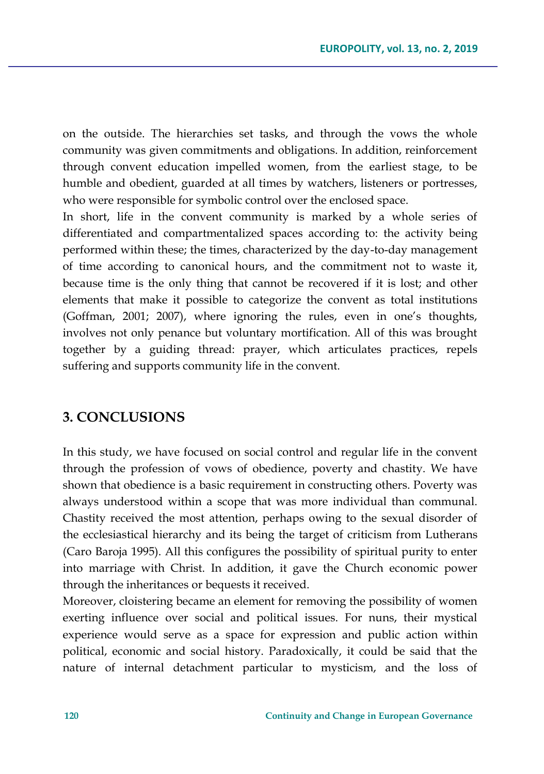on the outside. The hierarchies set tasks, and through the vows the whole community was given commitments and obligations. In addition, reinforcement through convent education impelled women, from the earliest stage, to be humble and obedient, guarded at all times by watchers, listeners or portresses, who were responsible for symbolic control over the enclosed space.

In short, life in the convent community is marked by a whole series of differentiated and compartmentalized spaces according to: the activity being performed within these; the times, characterized by the day-to-day management of time according to canonical hours, and the commitment not to waste it, because time is the only thing that cannot be recovered if it is lost; and other elements that make it possible to categorize the convent as total institutions (Goffman, 2001; 2007), where ignoring the rules, even in one's thoughts, involves not only penance but voluntary mortification. All of this was brought together by a guiding thread: prayer, which articulates practices, repels suffering and supports community life in the convent.

### **3. CONCLUSIONS**

In this study, we have focused on social control and regular life in the convent through the profession of vows of obedience, poverty and chastity. We have shown that obedience is a basic requirement in constructing others. Poverty was always understood within a scope that was more individual than communal. Chastity received the most attention, perhaps owing to the sexual disorder of the ecclesiastical hierarchy and its being the target of criticism from Lutherans (Caro Baroja 1995). All this configures the possibility of spiritual purity to enter into marriage with Christ. In addition, it gave the Church economic power through the inheritances or bequests it received.

Moreover, cloistering became an element for removing the possibility of women exerting influence over social and political issues. For nuns, their mystical experience would serve as a space for expression and public action within political, economic and social history. Paradoxically, it could be said that the nature of internal detachment particular to mysticism, and the loss of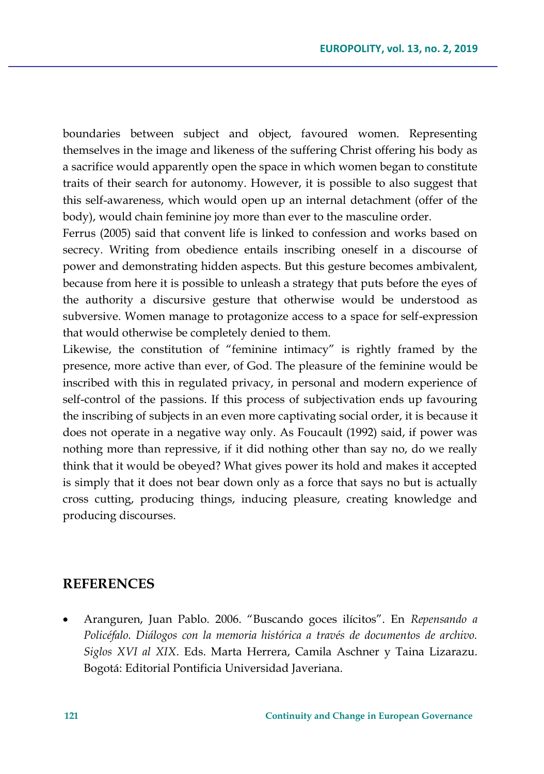boundaries between subject and object, favoured women. Representing themselves in the image and likeness of the suffering Christ offering his body as a sacrifice would apparently open the space in which women began to constitute traits of their search for autonomy. However, it is possible to also suggest that this self-awareness, which would open up an internal detachment (offer of the body), would chain feminine joy more than ever to the masculine order.

Ferrus (2005) said that convent life is linked to confession and works based on secrecy. Writing from obedience entails inscribing oneself in a discourse of power and demonstrating hidden aspects. But this gesture becomes ambivalent, because from here it is possible to unleash a strategy that puts before the eyes of the authority a discursive gesture that otherwise would be understood as subversive. Women manage to protagonize access to a space for self-expression that would otherwise be completely denied to them.

Likewise, the constitution of "feminine intimacy" is rightly framed by the presence, more active than ever, of God. The pleasure of the feminine would be inscribed with this in regulated privacy, in personal and modern experience of self-control of the passions. If this process of subjectivation ends up favouring the inscribing of subjects in an even more captivating social order, it is because it does not operate in a negative way only. As Foucault (1992) said, if power was nothing more than repressive, if it did nothing other than say no, do we really think that it would be obeyed? What gives power its hold and makes it accepted is simply that it does not bear down only as a force that says no but is actually cross cutting, producing things, inducing pleasure, creating knowledge and producing discourses.

### **REFERENCES**

 Aranguren, Juan Pablo. 2006. "Buscando goces ilícitos". En *Repensando a Policéfalo. Diálogos con la memoria histórica a través de documentos de archivo. Siglos XVI al XIX*. Eds. Marta Herrera, Camila Aschner y Taina Lizarazu. Bogotá: Editorial Pontificia Universidad Javeriana.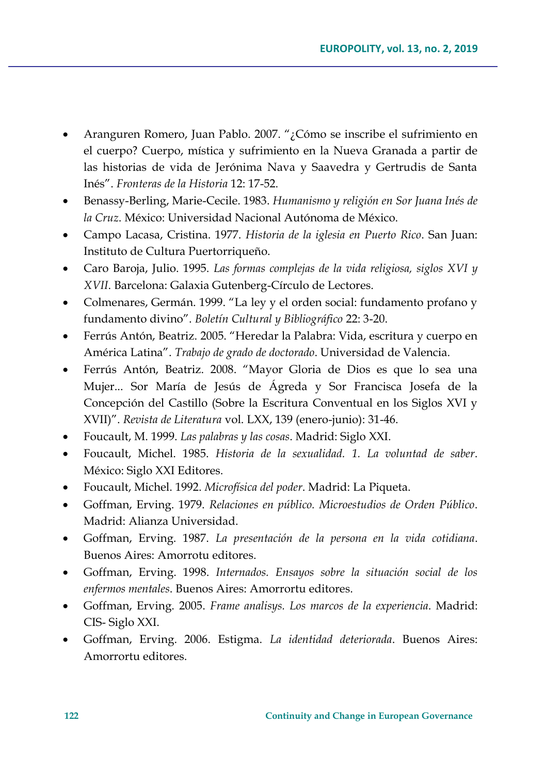- Aranguren Romero, Juan Pablo. 2007. "¿Cómo se inscribe el sufrimiento en el cuerpo? Cuerpo, mística y sufrimiento en la Nueva Granada a partir de las historias de vida de Jerónima Nava y Saavedra y Gertrudis de Santa Inés". *Fronteras de la Historia* 12: 17-52.
- Benassy-Berling, Marie-Cecile. 1983. *Humanismo y religión en Sor Juana Inés de la Cruz*. México: Universidad Nacional Autónoma de México.
- Campo Lacasa, Cristina. 1977. *Historia de la iglesia en Puerto Rico*. San Juan: Instituto de Cultura Puertorriqueño.
- Caro Baroja, Julio. 1995. *Las formas complejas de la vida religiosa, siglos XVI y XVII*. Barcelona: Galaxia Gutenberg-Círculo de Lectores.
- Colmenares, Germán. 1999. "La ley y el orden social: fundamento profano y fundamento divino". *Boletín Cultural y Bibliográfico* 22: 3-20.
- Ferrús Antón, Beatriz. 2005. "Heredar la Palabra: Vida, escritura y cuerpo en América Latina". *Trabajo de grado de doctorado*. Universidad de Valencia.
- Ferrús Antón, Beatriz. 2008. "Mayor Gloria de Dios es que lo sea una Mujer... Sor María de Jesús de Ágreda y Sor Francisca Josefa de la Concepción del Castillo (Sobre la Escritura Conventual en los Siglos XVI y XVII)". *Revista de Literatura* vol. LXX, 139 (enero-junio): 31-46.
- Foucault, M. 1999. *Las palabras y las cosas*. Madrid: Siglo XXI.
- Foucault, Michel. 1985. *Historia de la sexualidad. 1. La voluntad de saber*. México: Siglo XXI Editores.
- Foucault, Michel. 1992. *Microfísica del poder*. Madrid: La Piqueta.
- Goffman, Erving. 1979. *Relaciones en público. Microestudios de Orden Público*. Madrid: Alianza Universidad.
- Goffman, Erving. 1987. *La presentación de la persona en la vida cotidiana*. Buenos Aires: Amorrotu editores.
- Goffman, Erving. 1998. *Internados. Ensayos sobre la situación social de los enfermos mentales*. Buenos Aires: Amorrortu editores.
- Goffman, Erving. 2005. *Frame analisys. Los marcos de la experiencia*. Madrid: CIS- Siglo XXI.
- Goffman, Erving. 2006. Estigma. *La identidad deteriorada*. Buenos Aires: Amorrortu editores.